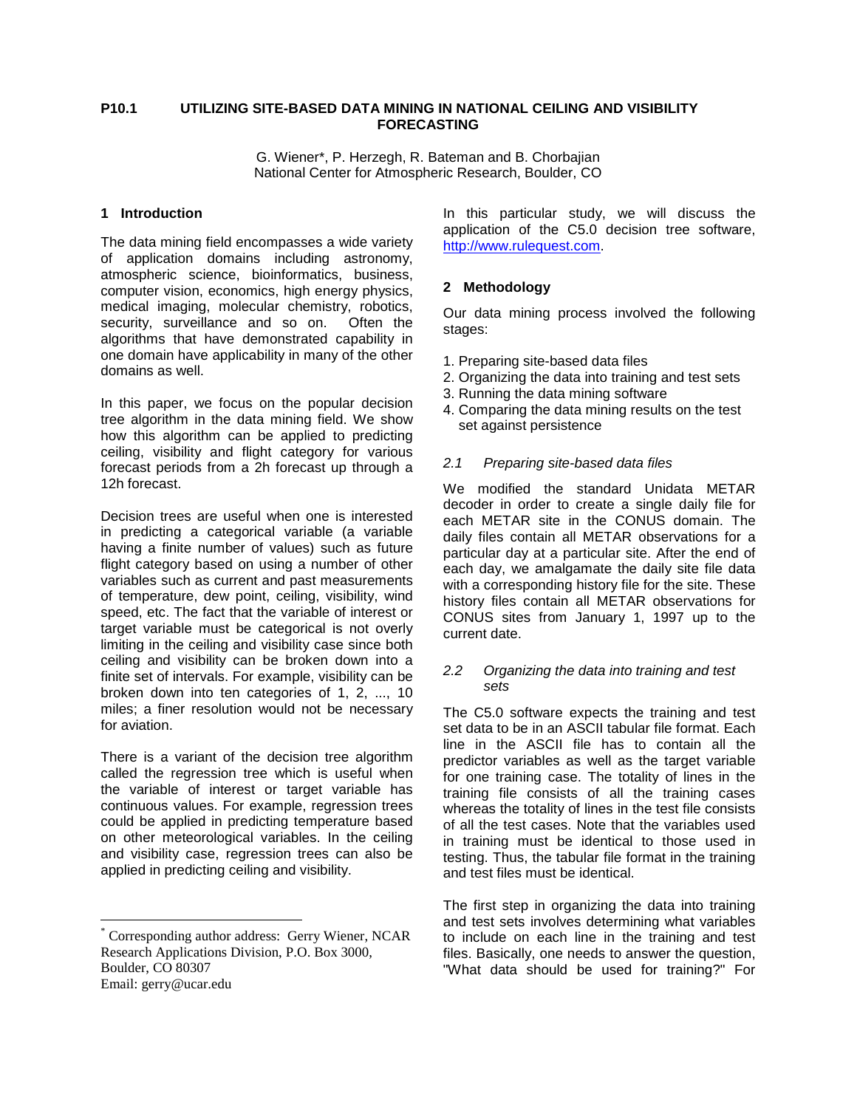## **P10.1 UTILIZING SITE-BASED DATA MINING IN NATIONAL CEILING AND VISIBILITY FORECASTING**

G. Wiener\*, P. Herzegh, R. Bateman and B. Chorbajian National Center for Atmospheric Research, Boulder, CO

### **1 Introduction**

The data mining field encompasses a wide variety of application domains including astronomy, atmospheric science, bioinformatics, business, computer vision, economics, high energy physics, medical imaging, molecular chemistry, robotics, security, surveillance and so on. Often the algorithms that have demonstrated capability in one domain have applicability in many of the other domains as well.

In this paper, we focus on the popular decision tree algorithm in the data mining field. We show how this algorithm can be applied to predicting ceiling, visibility and flight category for various forecast periods from a 2h forecast up through a 12h forecast.

Decision trees are useful when one is interested in predicting a categorical variable (a variable having a finite number of values) such as future flight category based on using a number of other variables such as current and past measurements of temperature, dew point, ceiling, visibility, wind speed, etc. The fact that the variable of interest or target variable must be categorical is not overly limiting in the ceiling and visibility case since both ceiling and visibility can be broken down into a finite set of intervals. For example, visibility can be broken down into ten categories of 1, 2, ..., 10 miles; a finer resolution would not be necessary for aviation.

There is a variant of the decision tree algorithm called the regression tree which is useful when the variable of interest or target variable has continuous values. For example, regression trees could be applied in predicting temperature based on other meteorological variables. In the ceiling and visibility case, regression trees can also be applied in predicting ceiling and visibility.

<u>.</u>

In this particular study, we will discuss the application of the C5.0 decision tree software, http://www.rulequest.com.

## **2 Methodology**

Our data mining process involved the following stages:

- 1. Preparing site-based data files
- 2. Organizing the data into training and test sets
- 3. Running the data mining software
- 4. Comparing the data mining results on the test set against persistence

### 2.1 Preparing site-based data files

We modified the standard Unidata METAR decoder in order to create a single daily file for each METAR site in the CONUS domain. The daily files contain all METAR observations for a particular day at a particular site. After the end of each day, we amalgamate the daily site file data with a corresponding history file for the site. These history files contain all METAR observations for CONUS sites from January 1, 1997 up to the current date.

### 2.2 Organizing the data into training and test sets

The C5.0 software expects the training and test set data to be in an ASCII tabular file format. Each line in the ASCII file has to contain all the predictor variables as well as the target variable for one training case. The totality of lines in the training file consists of all the training cases whereas the totality of lines in the test file consists of all the test cases. Note that the variables used in training must be identical to those used in testing. Thus, the tabular file format in the training and test files must be identical.

The first step in organizing the data into training and test sets involves determining what variables to include on each line in the training and test files. Basically, one needs to answer the question, "What data should be used for training?" For

<sup>\*</sup> Corresponding author address: Gerry Wiener, NCAR Research Applications Division, P.O. Box 3000, Boulder, CO 80307 Email: gerry@ucar.edu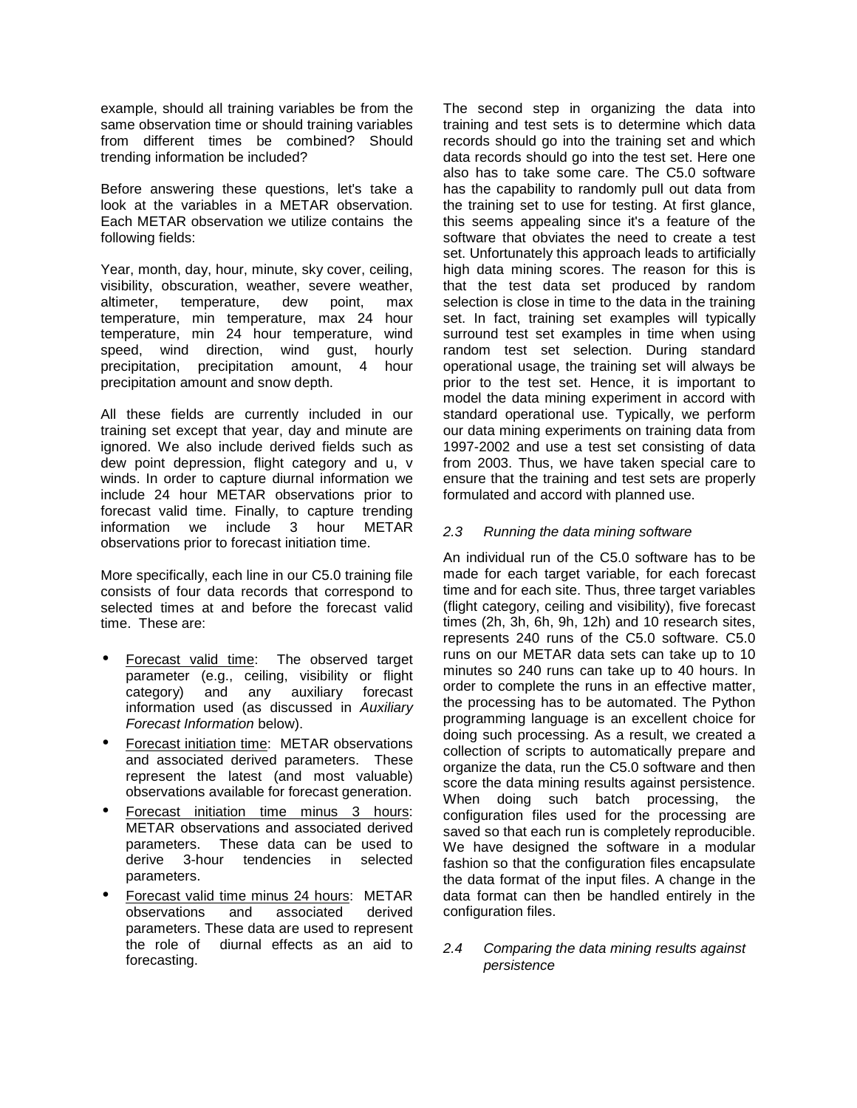example, should all training variables be from the same observation time or should training variables from different times be combined? Should trending information be included?

Before answering these questions, let's take a look at the variables in a METAR observation. Each METAR observation we utilize contains the following fields:

Year, month, day, hour, minute, sky cover, ceiling, visibility, obscuration, weather, severe weather, altimeter, temperature, dew point, max temperature, min temperature, max 24 hour temperature, min 24 hour temperature, wind speed, wind direction, wind gust, hourly precipitation, precipitation amount, 4 hour precipitation amount and snow depth.

All these fields are currently included in our training set except that year, day and minute are ignored. We also include derived fields such as dew point depression, flight category and u, v winds. In order to capture diurnal information we include 24 hour METAR observations prior to forecast valid time. Finally, to capture trending information we include 3 hour METAR observations prior to forecast initiation time.

More specifically, each line in our C5.0 training file consists of four data records that correspond to selected times at and before the forecast valid time. These are:

- Forecast valid time: The observed target parameter (e.g., ceiling, visibility or flight category) and any auxiliary forecast information used (as discussed in Auxiliary Forecast Information below).
- Forecast initiation time: METAR observations and associated derived parameters. These represent the latest (and most valuable) observations available for forecast generation.
- Forecast initiation time minus 3 hours: METAR observations and associated derived parameters. These data can be used to derive 3-hour tendencies in selected parameters.
- Forecast valid time minus 24 hours: METAR observations and associated derived parameters. These data are used to represent the role of diurnal effects as an aid to forecasting.

The second step in organizing the data into training and test sets is to determine which data records should go into the training set and which data records should go into the test set. Here one also has to take some care. The C5.0 software has the capability to randomly pull out data from the training set to use for testing. At first glance, this seems appealing since it's a feature of the software that obviates the need to create a test set. Unfortunately this approach leads to artificially high data mining scores. The reason for this is that the test data set produced by random selection is close in time to the data in the training set. In fact, training set examples will typically surround test set examples in time when using random test set selection. During standard operational usage, the training set will always be prior to the test set. Hence, it is important to model the data mining experiment in accord with standard operational use. Typically, we perform our data mining experiments on training data from 1997-2002 and use a test set consisting of data from 2003. Thus, we have taken special care to ensure that the training and test sets are properly formulated and accord with planned use.

# 2.3 Running the data mining software

An individual run of the C5.0 software has to be made for each target variable, for each forecast time and for each site. Thus, three target variables (flight category, ceiling and visibility), five forecast times (2h, 3h, 6h, 9h, 12h) and 10 research sites, represents 240 runs of the C5.0 software. C5.0 runs on our METAR data sets can take up to 10 minutes so 240 runs can take up to 40 hours. In order to complete the runs in an effective matter, the processing has to be automated. The Python programming language is an excellent choice for doing such processing. As a result, we created a collection of scripts to automatically prepare and organize the data, run the C5.0 software and then score the data mining results against persistence. When doing such batch processing, the configuration files used for the processing are saved so that each run is completely reproducible. We have designed the software in a modular fashion so that the configuration files encapsulate the data format of the input files. A change in the data format can then be handled entirely in the configuration files.

### 2.4 Comparing the data mining results against persistence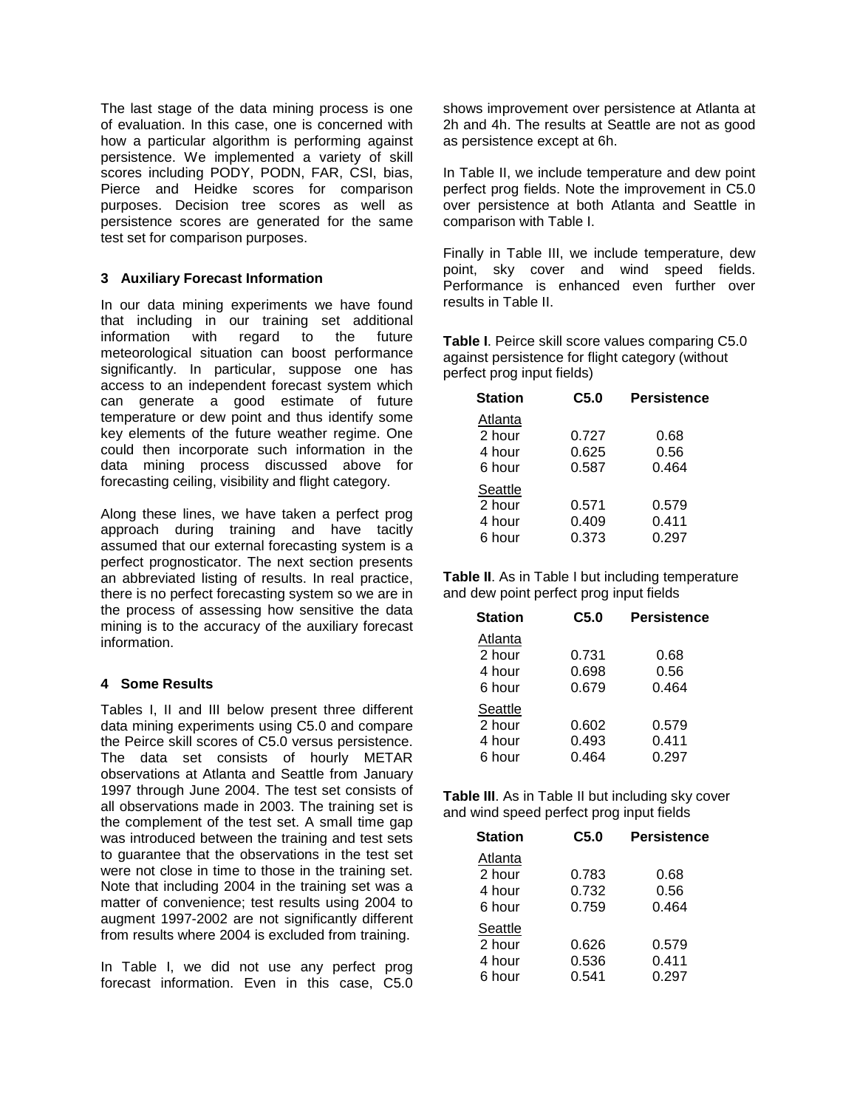The last stage of the data mining process is one of evaluation. In this case, one is concerned with how a particular algorithm is performing against persistence. We implemented a variety of skill scores including PODY, PODN, FAR, CSI, bias, Pierce and Heidke scores for comparison purposes. Decision tree scores as well as persistence scores are generated for the same test set for comparison purposes.

# **3 Auxiliary Forecast Information**

In our data mining experiments we have found that including in our training set additional information with regard to the future meteorological situation can boost performance significantly. In particular, suppose one has access to an independent forecast system which can generate a good estimate of future temperature or dew point and thus identify some key elements of the future weather regime. One could then incorporate such information in the data mining process discussed above for forecasting ceiling, visibility and flight category.

Along these lines, we have taken a perfect prog approach during training and have tacitly assumed that our external forecasting system is a perfect prognosticator. The next section presents an abbreviated listing of results. In real practice, there is no perfect forecasting system so we are in the process of assessing how sensitive the data mining is to the accuracy of the auxiliary forecast information.

# **4 Some Results**

Tables I, II and III below present three different data mining experiments using C5.0 and compare the Peirce skill scores of C5.0 versus persistence. The data set consists of hourly METAR observations at Atlanta and Seattle from January 1997 through June 2004. The test set consists of all observations made in 2003. The training set is the complement of the test set. A small time gap was introduced between the training and test sets to guarantee that the observations in the test set were not close in time to those in the training set. Note that including 2004 in the training set was a matter of convenience; test results using 2004 to augment 1997-2002 are not significantly different from results where 2004 is excluded from training.

In Table I, we did not use any perfect prog forecast information. Even in this case, C5.0 shows improvement over persistence at Atlanta at 2h and 4h. The results at Seattle are not as good as persistence except at 6h.

In Table II, we include temperature and dew point perfect prog fields. Note the improvement in C5.0 over persistence at both Atlanta and Seattle in comparison with Table I.

Finally in Table III, we include temperature, dew point, sky cover and wind speed fields. Performance is enhanced even further over results in Table II.

**Table I**. Peirce skill score values comparing C5.0 against persistence for flight category (without perfect prog input fields)

| <b>Station</b>                        | C5.0                    | <b>Persistence</b>      |
|---------------------------------------|-------------------------|-------------------------|
| Atlanta<br>2 hour<br>4 hour<br>6 hour | 0.727<br>0.625<br>0.587 | 0.68<br>0.56<br>0.464   |
| Seattle<br>2 hour<br>4 hour<br>6 hour | 0.571<br>0.409<br>0.373 | 0.579<br>0.411<br>0.297 |

**Table II**. As in Table I but including temperature and dew point perfect prog input fields

| <b>Station</b>                        | C5.0                    | <b>Persistence</b>      |
|---------------------------------------|-------------------------|-------------------------|
| Atlanta<br>2 hour<br>4 hour<br>6 hour | 0.731<br>0.698<br>0.679 | 0.68<br>0.56<br>0.464   |
| Seattle<br>2 hour<br>4 hour<br>6 hour | 0.602<br>0.493<br>0.464 | 0.579<br>0.411<br>0.297 |

**Table III.** As in Table II but including sky cover and wind speed perfect prog input fields

| <b>Station</b>                        | C5.0                    | <b>Persistence</b>      |
|---------------------------------------|-------------------------|-------------------------|
| Atlanta<br>2 hour<br>4 hour<br>6 hour | 0.783<br>0.732<br>0.759 | 0.68<br>0.56<br>0.464   |
| Seattle<br>2 hour<br>4 hour<br>6 hour | 0.626<br>0.536<br>0.541 | 0.579<br>0.411<br>0.297 |